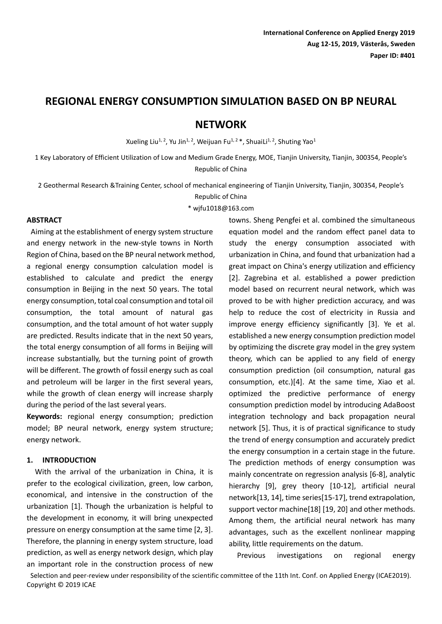# **REGIONAL ENERGY CONSUMPTION SIMULATION BASED ON BP NEURAL**

# **NETWORK**

Xueling Liu<sup>1, 2</sup>, Yu Jin<sup>1, 2</sup>, Weijuan Fu<sup>1, 2</sup> \*, ShuaiLi<sup>1, 2</sup>, Shuting Yao<sup>1</sup>

1 Key Laboratory of Efficient Utilization of Low and Medium Grade Energy, MOE, Tianjin University, Tianjin, 300354, People's Republic of China

2 Geothermal Research &Training Center, school of mechanical engineering of Tianjin University, Tianjin, 300354, People's

Republic of China

\* wjfu1018@163.com

#### **ABSTRACT**

Aiming at the establishment of energy system structure and energy network in the new-style towns in North Region of China, based on the BP neural network method, a regional energy consumption calculation model is established to calculate and predict the energy consumption in Beijing in the next 50 years. The total energy consumption, total coal consumption and total oil consumption, the total amount of natural gas consumption, and the total amount of hot water supply are predicted. Results indicate that in the next 50 years, the total energy consumption of all forms in Beijing will increase substantially, but the turning point of growth will be different. The growth of fossil energy such as coal and petroleum will be larger in the first several years, while the growth of clean energy will increase sharply during the period of the last several years.

**Keywords:** regional energy consumption; prediction model; BP neural network, energy system structure; energy network.

## **1. INTRODUCTION**

With the arrival of the urbanization in China, it is prefer to the ecological civilization, green, low carbon, economical, and intensive in the construction of the urbanization [1]. Though the urbanization is helpful to the development in economy, it will bring unexpected pressure on energy consumption at the same time [2, 3]. Therefore, the planning in energy system structure, load prediction, as well as energy network design, which play an important role in the construction process of new

towns. Sheng Pengfei et al. combined the simultaneous equation model and the random effect panel data to study the energy consumption associated with urbanization in China, and found that urbanization had a great impact on China's energy utilization and efficiency [2]. Zagrebina et al. established a power prediction model based on recurrent neural network, which was proved to be with higher prediction accuracy, and was help to reduce the cost of electricity in Russia and improve energy efficiency significantly [3]. Ye et al. established a new energy consumption prediction model by optimizing the discrete gray model in the grey system theory, which can be applied to any field of energy consumption prediction (oil consumption, natural gas consumption, etc.)[4]. At the same time, Xiao et al. optimized the predictive performance of energy consumption prediction model by introducing AdaBoost integration technology and back propagation neural network [5]. Thus, it is of practical significance to study the trend of energy consumption and accurately predict the energy consumption in a certain stage in the future. The prediction methods of energy consumption was mainly concentrate on regression analysis [6-8], analytic hierarchy [9], grey theory [10-12], artificial neural network[13, 14], time series[15-17], trend extrapolation, support vector machine[18] [19, 20] and other methods. Among them, the artificial neural network has many advantages, such as the excellent nonlinear mapping ability, little requirements on the datum.

Previous investigations on regional energy

Selection and peer-review under responsibility of the scientific committee of the 11th Int. Conf. on Applied Energy (ICAE2019). Copyright © 2019 ICAE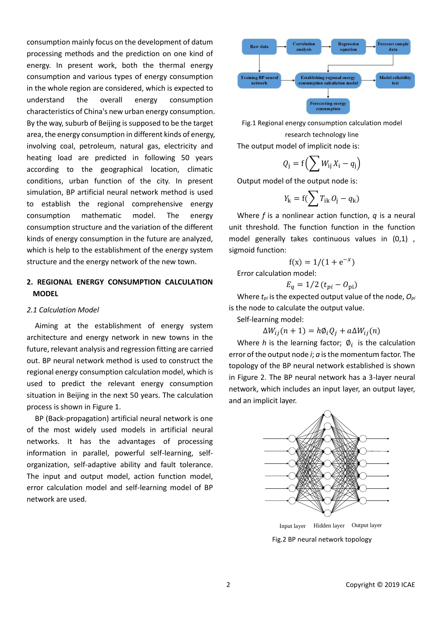consumption mainly focus on the development of datum processing methods and the prediction on one kind of energy. In present work, both the thermal energy consumption and various types of energy consumption in the whole region are considered, which is expected to understand the overall energy consumption characteristics of China's new urban energy consumption. By the way, suburb of Beijing is supposed to be the target area, the energy consumption in different kinds of energy, involving coal, petroleum, natural gas, electricity and heating load are predicted in following 50 years according to the geographical location, climatic conditions, urban function of the city. In present simulation, BP artificial neural network method is used to establish the regional comprehensive energy consumption mathematic model. The energy consumption structure and the variation of the different kinds of energy consumption in the future are analyzed, which is help to the establishment of the energy system structure and the energy network of the new town.

## **2. REGIONAL ENERGY CONSUMPTION CALCULATION MODEL**

#### *2.1 Calculation Model*

Aiming at the establishment of energy system architecture and energy network in new towns in the future, relevant analysis and regression fitting are carried out. BP neural network method is used to construct the regional energy consumption calculation model, which is used to predict the relevant energy consumption situation in Beijing in the next 50 years. The calculation process is shown in Figure 1.

BP (Back-propagation) artificial neural network is one of the most widely used models in artificial neural networks. It has the advantages of processing information in parallel, powerful self-learning, selforganization, self-adaptive ability and fault tolerance. The input and output model, action function model, error calculation model and self-learning model of BP network are used.



Fig.1 Regional energy consumption calculation model research technology line The output model of implicit node is:

$$
Q_j = f\left(\sum W_{ij}X_i - q_j\right)
$$

Output model of the output node is:

$$
Y_{\mathbf{k}} = \mathbf{f}(\sum T_{\mathbf{i}\mathbf{k}} O_{\mathbf{j}} - q_{\mathbf{k}})
$$

Where *f* is a nonlinear action function, *q* is a neural unit threshold. The function function in the function model generally takes continuous values in (0,1) , sigmoid function:

$$
f(x) = 1/(1 + e^{-x})
$$

Error calculation model:

$$
E_q = 1/2 \left(t_{pi} - O_{\text{pi}}\right)
$$

Where *tpi* is the expected output value of the node, *Opi* is the node to calculate the output value.

Self-learning model:

$$
\Delta W_{ij}(n+1) = h\phi_i Q_j + a\Delta W_{ij}(n)
$$

Where *h* is the learning factor;  $\varnothing_i$  is the calculation error of the output node *i*; *a* is the momentum factor. The topology of the BP neural network established is shown in Figure 2. The BP neural network has a 3-layer neural network, which includes an input layer, an output layer, and an implicit layer.



Fig.2 BP neural network topology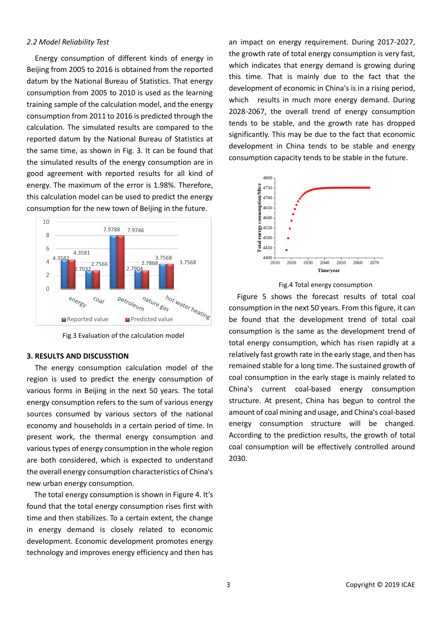#### *2.2 Model Reliability Test*

Energy consumption of different kinds of energy in Beijing from 2005 to 2016 is obtained from the reported datum by the National Bureau of Statistics. That energy consumption from 2005 to 2010 is used as the learning training sample of the calculation model, and the energy consumption from 2011 to 2016 is predicted through the calculation. The simulated results are compared to the reported datum by the National Bureau of Statistics at the same time, as shown in Fig. 3. It can be found that the simulated results of the energy consumption are in good agreement with reported results for all kind of energy. The maximum of the error is 1.98%. Therefore, this calculation model can be used to predict the energy consumption for the new town of Beijing in the future.



Fig.3 Evaluation of the calculation model

## **3. RESULTS AND DISCUSSTION**

 The energy consumption calculation model of the region is used to predict the energy consumption of various forms in Beijing in the next 50 years. The total energy consumption refers to the sum of various energy sources consumed by various sectors of the national economy and households in a certain period of time. In present work, the thermal energy consumption and various types of energy consumption in the whole region are both considered, which is expected to understand the overall energy consumption characteristics of China's new urban energy consumption.

The total energy consumption is shown in Figure 4. It's found that the total energy consumption rises first with time and then stabilizes. To a certain extent, the change in energy demand is closely related to economic development. Economic development promotes energy technology and improves energy efficiency and then has an impact on energy requirement. During 2017-2027, the growth rate of total energy consumption is very fast, which indicates that energy demand is growing during this time. That is mainly due to the fact that the development of economic in China's is in a rising period, which results in much more energy demand. During 2028-2067, the overall trend of energy consumption tends to be stable, and the growth rate has dropped significantly. This may be due to the fact that economic development in China tends to be stable and energy consumption capacity tends to be stable in the future.





Figure 5 shows the forecast results of total coal consumption in the next 50 years. From this figure, it can be found that the development trend of total coal consumption is the same as the development trend of total energy consumption, which has risen rapidly at a relatively fast growth rate in the early stage, and then has remained stable for a long time. The sustained growth of coal consumption in the early stage is mainly related to China's current coal-based energy consumption structure. At present, China has begun to control the amount of coal mining and usage, and China's coal-based energy consumption structure will be changed. According to the prediction results, the growth of total coal consumption will be effectively controlled around 2030.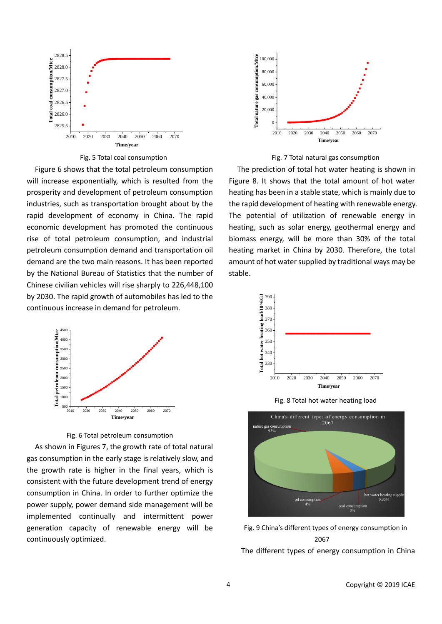

Fig. 5 Total coal consumption

Figure 6 shows that the total petroleum consumption will increase exponentially, which is resulted from the prosperity and development of petroleum consumption industries, such as transportation brought about by the rapid development of economy in China. The rapid economic development has promoted the continuous rise of total petroleum consumption, and industrial petroleum consumption demand and transportation oil demand are the two main reasons. It has been reported by the National Bureau of Statistics that the number of Chinese civilian vehicles will rise sharply to 226,448,100 by 2030. The rapid growth of automobiles has led to the continuous increase in demand for petroleum.



Fig. 6 Total petroleum consumption

As shown in Figures 7, the growth rate of total natural gas consumption in the early stage is relatively slow, and the growth rate is higher in the final years, which is consistent with the future development trend of energy consumption in China. In order to further optimize the power supply, power demand side management will be implemented continually and intermittent power generation capacity of renewable energy will be continuously optimized.





The prediction of total hot water heating is shown in Figure 8. It shows that the total amount of hot water heating has been in a stable state, which is mainly due to the rapid development of heating with renewable energy. The potential of utilization of renewable energy in heating, such as solar energy, geothermal energy and biomass energy, will be more than 30% of the total heating market in China by 2030. Therefore, the total amount of hot water supplied by traditional ways may be stable.









The different types of energy consumption in China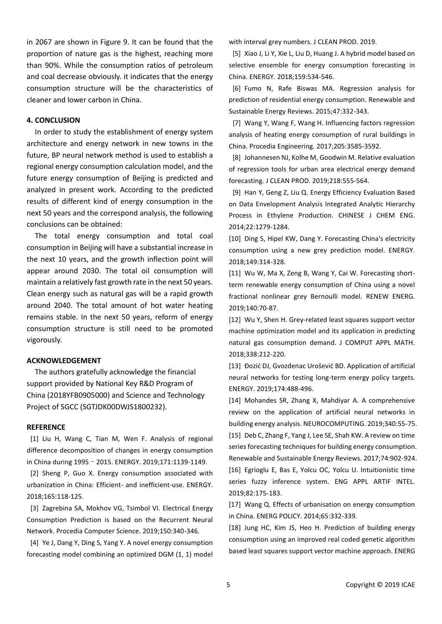in 2067 are shown in Figure 9. It can be found that the proportion of nature gas is the highest, reaching more than 90%. While the consumption ratios of petroleum and coal decrease obviously. it indicates that the energy consumption structure will be the characteristics of cleaner and lower carbon in China.

#### **4. CONCLUSION**

In order to study the establishment of energy system architecture and energy network in new towns in the future, BP neural network method is used to establish a regional energy consumption calculation model, and the future energy consumption of Beijing is predicted and analyzed in present work. According to the predicted results of different kind of energy consumption in the next 50 years and the correspond analysis, the following conclusions can be obtained:

The total energy consumption and total coal consumption in Beijing will have a substantial increase in the next 10 years, and the growth inflection point will appear around 2030. The total oil consumption will maintain a relatively fast growth rate in the next 50 years. Clean energy such as natural gas will be a rapid growth around 2040. The total amount of hot water heating remains stable. In the next 50 years, reform of energy consumption structure is still need to be promoted vigorously.

#### **ACKNOWLEDGEMENT**

 The authors gratefully acknowledge the financial support provided by National Key R&D Program of China (2018YFB0905000) and Science and Technology Project of SGCC (SGTJDK00DWJS1800232).

#### **REFERENCE**

[1] Liu H, Wang C, Tian M, Wen F. Analysis of regional difference decomposition of changes in energy consumption in China during 1995–2015. ENERGY. 2019;171:1139-1149.

[2] Sheng P, Guo X. Energy consumption associated with urbanization in China: Efficient- and inefficient-use. ENERGY. 2018;165:118-125.

[3] Zagrebina SA, Mokhov VG, Tsimbol VI. Electrical Energy Consumption Prediction is based on the Recurrent Neural Network. Procedia Computer Science. 2019;150:340-346.

[4] Ye J, Dang Y, Ding S, Yang Y. A novel energy consumption forecasting model combining an optimized DGM (1, 1) model with interval grey numbers. J CLEAN PROD. 2019.

[5] Xiao J, Li Y, Xie L, Liu D, Huang J. A hybrid model based on selective ensemble for energy consumption forecasting in China. ENERGY. 2018;159:534-546.

[6] Fumo N, Rafe Biswas MA. Regression analysis for prediction of residential energy consumption. Renewable and Sustainable Energy Reviews. 2015;47:332-343.

[7] Wang Y, Wang F, Wang H. Influencing factors regression analysis of heating energy consumption of rural buildings in China. Procedia Engineering. 2017;205:3585-3592.

[8] Johannesen NJ, Kolhe M, Goodwin M. Relative evaluation of regression tools for urban area electrical energy demand forecasting. J CLEAN PROD. 2019;218:555-564.

[9] Han Y, Geng Z, Liu Q. Energy Efficiency Evaluation Based on Data Envelopment Analysis Integrated Analytic Hierarchy Process in Ethylene Production. CHINESE J CHEM ENG. 2014;22:1279-1284.

[10] Ding S, Hipel KW, Dang Y. Forecasting China's electricity consumption using a new grey prediction model. ENERGY. 2018;149:314-328.

[11] Wu W, Ma X, Zeng B, Wang Y, Cai W. Forecasting shortterm renewable energy consumption of China using a novel fractional nonlinear grey Bernoulli model. RENEW ENERG. 2019;140:70-87.

[12] Wu Y, Shen H. Grey-related least squares support vector machine optimization model and its application in predicting natural gas consumption demand. J COMPUT APPL MATH. 2018;338:212-220.

[13] Đozić DJ, Gvozdenac Urošević BD. Application of artificial neural networks for testing long-term energy policy targets. ENERGY. 2019;174:488-496.

[14] Mohandes SR, Zhang X, Mahdiyar A. A comprehensive review on the application of artificial neural networks in building energy analysis. NEUROCOMPUTING. 2019;340:55-75. [15] Deb C, Zhang F, Yang J, Lee SE, Shah KW. A review on time series forecasting techniques for building energy consumption. Renewable and Sustainable Energy Reviews. 2017;74:902-924. [16] Egrioglu E, Bas E, Yolcu OC, Yolcu U. Intuitionistic time series fuzzy inference system. ENG APPL ARTIF INTEL. 2019;82:175-183.

[17] Wang Q. Effects of urbanisation on energy consumption in China. ENERG POLICY. 2014;65:332-339.

[18] Jung HC, Kim JS, Heo H. Prediction of building energy consumption using an improved real coded genetic algorithm based least squares support vector machine approach. ENERG